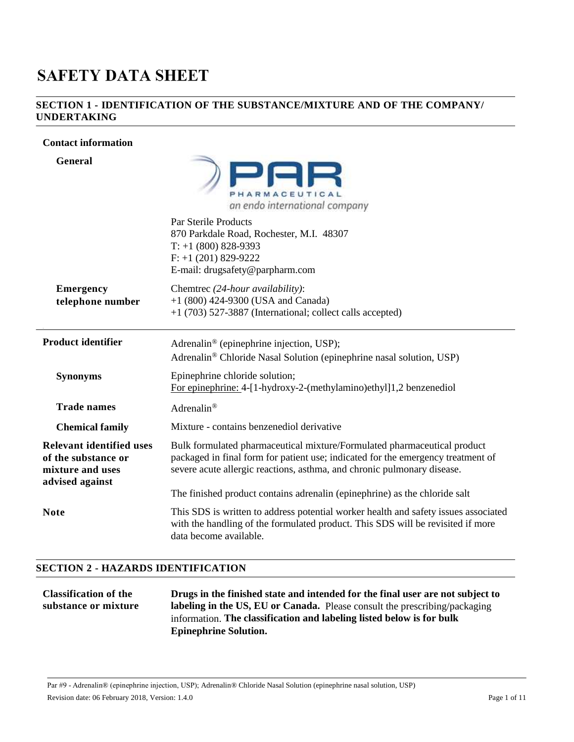# **SAFETY DATA SHEET**

#### **SECTION 1 - IDENTIFICATION OF THE SUBSTANCE/MIXTURE AND OF THE COMPANY/ UNDERTAKING**

#### **Contact information**

| <b>General</b>                                                                                | PHARMACEUTICAL<br>an endo international company                                                                                                                                                                                         |  |
|-----------------------------------------------------------------------------------------------|-----------------------------------------------------------------------------------------------------------------------------------------------------------------------------------------------------------------------------------------|--|
|                                                                                               | Par Sterile Products<br>870 Parkdale Road, Rochester, M.I. 48307<br>$T: +1$ (800) 828-9393<br>$F: +1(201) 829-9222$<br>E-mail: drugsafety@parpharm.com                                                                                  |  |
| <b>Emergency</b>                                                                              | Chemtrec (24-hour availability):                                                                                                                                                                                                        |  |
| telephone number                                                                              | +1 (800) 424-9300 (USA and Canada)<br>+1 (703) 527-3887 (International; collect calls accepted)                                                                                                                                         |  |
|                                                                                               |                                                                                                                                                                                                                                         |  |
| <b>Product identifier</b>                                                                     | Adrenalin <sup>®</sup> (epinephrine injection, USP);<br>Adrenalin® Chloride Nasal Solution (epinephrine nasal solution, USP)                                                                                                            |  |
| <b>Synonyms</b>                                                                               | Epinephrine chloride solution;<br>For epinephrine: 4-[1-hydroxy-2-(methylamino)ethyl]1,2 benzenediol                                                                                                                                    |  |
| <b>Trade names</b>                                                                            | Adrenalin®                                                                                                                                                                                                                              |  |
| <b>Chemical family</b>                                                                        | Mixture - contains benzenediol derivative                                                                                                                                                                                               |  |
| <b>Relevant identified uses</b><br>of the substance or<br>mixture and uses<br>advised against | Bulk formulated pharmaceutical mixture/Formulated pharmaceutical product<br>packaged in final form for patient use; indicated for the emergency treatment of<br>severe acute allergic reactions, asthma, and chronic pulmonary disease. |  |
|                                                                                               | The finished product contains adrenalin (epinephrine) as the chloride salt                                                                                                                                                              |  |
| <b>Note</b>                                                                                   | This SDS is written to address potential worker health and safety issues associated<br>with the handling of the formulated product. This SDS will be revisited if more<br>data become available.                                        |  |

### **SECTION 2 - HAZARDS IDENTIFICATION**

#### **Classification of the substance or mixture Drugs in the finished state and intended for the final user are not subject to labeling in the US, EU or Canada.** Please consult the prescribing/packaging information. **The classification and labeling listed below is for bulk Epinephrine Solution.**

Par #9 - Adrenalin® (epinephrine injection, USP); Adrenalin® Chloride Nasal Solution (epinephrine nasal solution, USP) Revision date: 06 February 2018, Version: 1.4.0 Page 1 of 11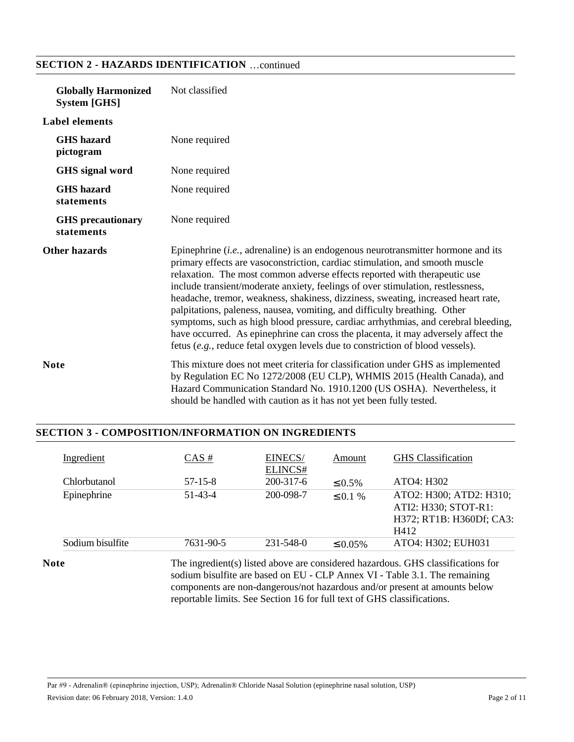| <b>Globally Harmonized</b><br><b>System [GHS]</b> | Not classified                                                                                                                                                                                                                                                                                                                                                                                                                                                                                                                                                                                                                                                                                                                                                    |  |
|---------------------------------------------------|-------------------------------------------------------------------------------------------------------------------------------------------------------------------------------------------------------------------------------------------------------------------------------------------------------------------------------------------------------------------------------------------------------------------------------------------------------------------------------------------------------------------------------------------------------------------------------------------------------------------------------------------------------------------------------------------------------------------------------------------------------------------|--|
| <b>Label elements</b>                             |                                                                                                                                                                                                                                                                                                                                                                                                                                                                                                                                                                                                                                                                                                                                                                   |  |
| <b>GHS</b> hazard<br>pictogram                    | None required                                                                                                                                                                                                                                                                                                                                                                                                                                                                                                                                                                                                                                                                                                                                                     |  |
| GHS signal word                                   | None required                                                                                                                                                                                                                                                                                                                                                                                                                                                                                                                                                                                                                                                                                                                                                     |  |
| <b>GHS</b> hazard<br>statements                   | None required                                                                                                                                                                                                                                                                                                                                                                                                                                                                                                                                                                                                                                                                                                                                                     |  |
| <b>GHS</b> precautionary<br>statements            | None required                                                                                                                                                                                                                                                                                                                                                                                                                                                                                                                                                                                                                                                                                                                                                     |  |
| <b>Other hazards</b>                              | Epinephrine $(i.e.,$ adrenaline) is an endogenous neurotransmitter hormone and its<br>primary effects are vasoconstriction, cardiac stimulation, and smooth muscle<br>relaxation. The most common adverse effects reported with therapeutic use<br>include transient/moderate anxiety, feelings of over stimulation, restlessness,<br>headache, tremor, weakness, shakiness, dizziness, sweating, increased heart rate,<br>palpitations, paleness, nausea, vomiting, and difficulty breathing. Other<br>symptoms, such as high blood pressure, cardiac arrhythmias, and cerebral bleeding,<br>have occurred. As epinephrine can cross the placenta, it may adversely affect the<br>fetus (e.g., reduce fetal oxygen levels due to constriction of blood vessels). |  |
| <b>Note</b>                                       | This mixture does not meet criteria for classification under GHS as implemented<br>by Regulation EC No 1272/2008 (EU CLP), WHMIS 2015 (Health Canada), and<br>Hazard Communication Standard No. 1910.1200 (US OSHA). Nevertheless, it<br>should be handled with caution as it has not yet been fully tested.                                                                                                                                                                                                                                                                                                                                                                                                                                                      |  |

# **SECTION 2 - HAZARDS IDENTIFICATION** …continued

# **SECTION 3 - COMPOSITION/INFORMATION ON INGREDIENTS**

| ELINCS#<br>200-317-6<br><b>Chlorbutanol</b><br>$57-15-8$<br>$\leq 0.5\%$<br>Epinephrine<br>51-43-4<br>200-098-7<br>$\leq$ 0.1 % | <b>GHS</b> Classification                                                           |
|---------------------------------------------------------------------------------------------------------------------------------|-------------------------------------------------------------------------------------|
|                                                                                                                                 | ATO4: H302                                                                          |
|                                                                                                                                 | ATO2: H300; ATD2: H310;<br>ATI2: H330; STOT-R1:<br>H372; RT1B: H360Df; CA3:<br>H412 |
| 231-548-0<br>Sodium bisulfite<br>7631-90-5<br>$\leq 0.05\%$                                                                     | ATO4: H302; EUH031                                                                  |

Note The ingredient(s) listed above are considered hazardous. GHS classifications for sodium bisulfite are based on EU - CLP Annex VI - Table 3.1. The remaining components are non-dangerous/not hazardous and/or present at amounts below reportable limits. See Section 16 for full text of GHS classifications.

Par #9 - Adrenalin® (epinephrine injection, USP); Adrenalin® Chloride Nasal Solution (epinephrine nasal solution, USP) Revision date: 06 February 2018, Version: 1.4.0 Page 2 of 11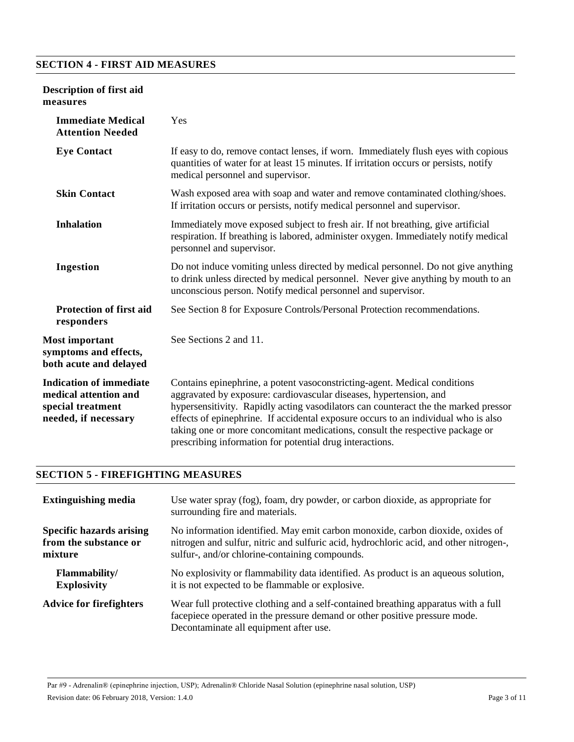### **SECTION 4 - FIRST AID MEASURES**

### **Description of first aid measures**

| <b>Immediate Medical</b><br><b>Attention Needed</b>                                                  | Yes                                                                                                                                                                                                                                                                                                                                                                                                                                                                       |
|------------------------------------------------------------------------------------------------------|---------------------------------------------------------------------------------------------------------------------------------------------------------------------------------------------------------------------------------------------------------------------------------------------------------------------------------------------------------------------------------------------------------------------------------------------------------------------------|
| <b>Eye Contact</b>                                                                                   | If easy to do, remove contact lenses, if worn. Immediately flush eyes with copious<br>quantities of water for at least 15 minutes. If irritation occurs or persists, notify<br>medical personnel and supervisor.                                                                                                                                                                                                                                                          |
| <b>Skin Contact</b>                                                                                  | Wash exposed area with soap and water and remove contaminated clothing/shoes.<br>If irritation occurs or persists, notify medical personnel and supervisor.                                                                                                                                                                                                                                                                                                               |
| <b>Inhalation</b>                                                                                    | Immediately move exposed subject to fresh air. If not breathing, give artificial<br>respiration. If breathing is labored, administer oxygen. Immediately notify medical<br>personnel and supervisor.                                                                                                                                                                                                                                                                      |
| Ingestion                                                                                            | Do not induce vomiting unless directed by medical personnel. Do not give anything<br>to drink unless directed by medical personnel. Never give anything by mouth to an<br>unconscious person. Notify medical personnel and supervisor.                                                                                                                                                                                                                                    |
| <b>Protection of first aid</b><br>responders                                                         | See Section 8 for Exposure Controls/Personal Protection recommendations.                                                                                                                                                                                                                                                                                                                                                                                                  |
| <b>Most important</b><br>symptoms and effects,<br>both acute and delayed                             | See Sections 2 and 11.                                                                                                                                                                                                                                                                                                                                                                                                                                                    |
| <b>Indication of immediate</b><br>medical attention and<br>special treatment<br>needed, if necessary | Contains epinephrine, a potent vasoconstricting-agent. Medical conditions<br>aggravated by exposure: cardiovascular diseases, hypertension, and<br>hypersensitivity. Rapidly acting vasodilators can counteract the the marked pressor<br>effects of epinephrine. If accidental exposure occurs to an individual who is also<br>taking one or more concomitant medications, consult the respective package or<br>prescribing information for potential drug interactions. |

#### **SECTION 5 - FIREFIGHTING MEASURES**

| <b>Extinguishing media</b>      | Use water spray (fog), foam, dry powder, or carbon dioxide, as appropriate for<br>surrounding fire and materials.                                                                                          |  |
|---------------------------------|------------------------------------------------------------------------------------------------------------------------------------------------------------------------------------------------------------|--|
| <b>Specific hazards arising</b> | No information identified. May emit carbon monoxide, carbon dioxide, oxides of                                                                                                                             |  |
| from the substance or           | nitrogen and sulfur, nitric and sulfuric acid, hydrochloric acid, and other nitrogen-,                                                                                                                     |  |
| mixture                         | sulfur-, and/or chlorine-containing compounds.                                                                                                                                                             |  |
| Flammability/                   | No explosivity or flammability data identified. As product is an aqueous solution,                                                                                                                         |  |
| <b>Explosivity</b>              | it is not expected to be flammable or explosive.                                                                                                                                                           |  |
| <b>Advice for firefighters</b>  | Wear full protective clothing and a self-contained breathing apparatus with a full<br>facepiece operated in the pressure demand or other positive pressure mode.<br>Decontaminate all equipment after use. |  |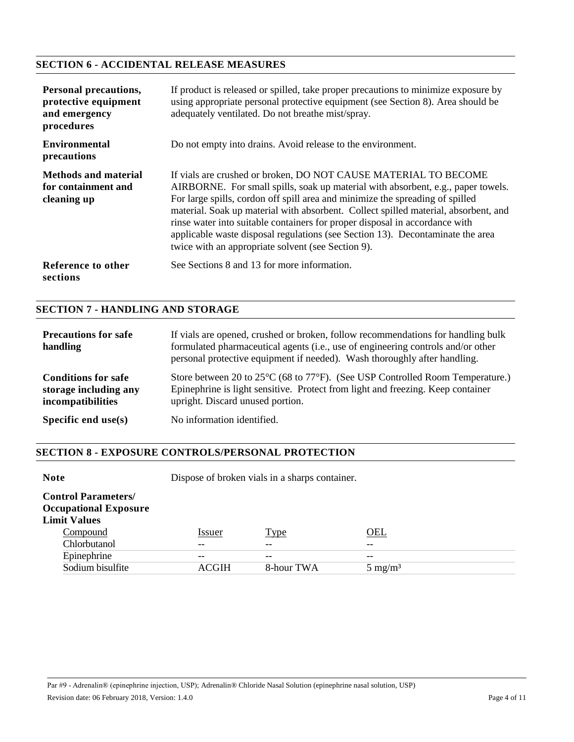# **SECTION 6 - ACCIDENTAL RELEASE MEASURES**

| <b>Personal precautions,</b><br>protective equipment<br>and emergency<br>procedures | If product is released or spilled, take proper precautions to minimize exposure by<br>using appropriate personal protective equipment (see Section 8). Area should be<br>adequately ventilated. Do not breathe mist/spray.                                                                                                                                                                                                                                                                                                                         |
|-------------------------------------------------------------------------------------|----------------------------------------------------------------------------------------------------------------------------------------------------------------------------------------------------------------------------------------------------------------------------------------------------------------------------------------------------------------------------------------------------------------------------------------------------------------------------------------------------------------------------------------------------|
| <b>Environmental</b><br>precautions                                                 | Do not empty into drains. Avoid release to the environment.                                                                                                                                                                                                                                                                                                                                                                                                                                                                                        |
| <b>Methods and material</b><br>for containment and<br>cleaning up                   | If vials are crushed or broken, DO NOT CAUSE MATERIAL TO BECOME<br>AIRBORNE. For small spills, soak up material with absorbent, e.g., paper towels.<br>For large spills, cordon off spill area and minimize the spreading of spilled<br>material. Soak up material with absorbent. Collect spilled material, absorbent, and<br>rinse water into suitable containers for proper disposal in accordance with<br>applicable waste disposal regulations (see Section 13). Decontaminate the area<br>twice with an appropriate solvent (see Section 9). |
| Reference to other<br>sections                                                      | See Sections 8 and 13 for more information.                                                                                                                                                                                                                                                                                                                                                                                                                                                                                                        |

# **SECTION 7 - HANDLING AND STORAGE**

| <b>Precautions for safe</b><br>handling                                         | If vials are opened, crushed or broken, follow recommendations for handling bulk<br>formulated pharmaceutical agents (i.e., use of engineering controls and/or other<br>personal protective equipment if needed). Wash thoroughly after handling. |
|---------------------------------------------------------------------------------|---------------------------------------------------------------------------------------------------------------------------------------------------------------------------------------------------------------------------------------------------|
| <b>Conditions for safe</b><br>storage including any<br><i>incompatibilities</i> | Store between 20 to $25^{\circ}$ C (68 to $77^{\circ}$ F). (See USP Controlled Room Temperature.)<br>Epinephrine is light sensitive. Protect from light and freezing. Keep container<br>upright. Discard unused portion.                          |
| Specific end $use(s)$                                                           | No information identified.                                                                                                                                                                                                                        |

#### **SECTION 8 - EXPOSURE CONTROLS/PERSONAL PROTECTION**

| <b>Note</b>                                                                                   | Dispose of broken vials in a sharps container. |                  |                             |
|-----------------------------------------------------------------------------------------------|------------------------------------------------|------------------|-----------------------------|
| <b>Control Parameters/</b><br><b>Occupational Exposure</b><br><b>Limit Values</b><br>Compound | Issuer                                         | <u>Type</u>      | OEL                         |
| Chlorbutanol                                                                                  |                                                |                  |                             |
| Epinephrine<br>Sodium bisulfite                                                               | --<br><b>ACGIH</b>                             | --<br>8-hour TWA | $- -$<br>$5 \text{ mg/m}^3$ |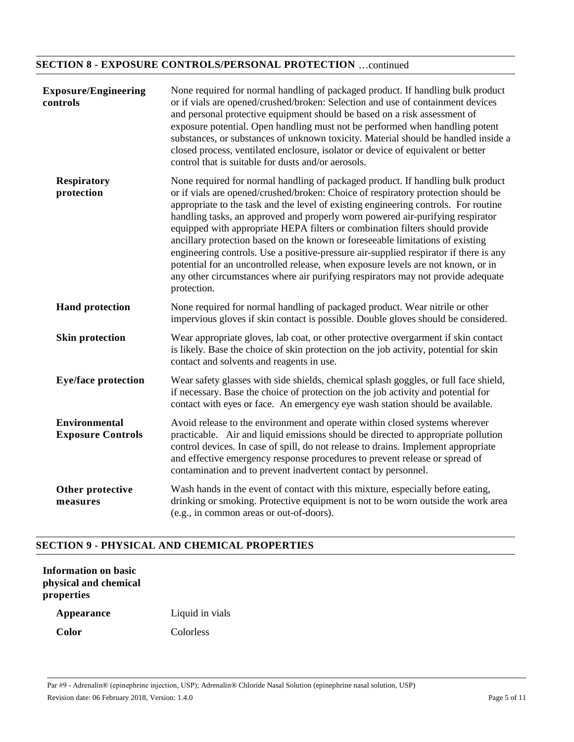# **SECTION 8 - EXPOSURE CONTROLS/PERSONAL PROTECTION** …continued

| <b>Exposure/Engineering</b><br>controls          | None required for normal handling of packaged product. If handling bulk product<br>or if vials are opened/crushed/broken: Selection and use of containment devices<br>and personal protective equipment should be based on a risk assessment of<br>exposure potential. Open handling must not be performed when handling potent<br>substances, or substances of unknown toxicity. Material should be handled inside a<br>closed process, ventilated enclosure, isolator or device of equivalent or better<br>control that is suitable for dusts and/or aerosols.                                                                                                                                                                                                                                |
|--------------------------------------------------|-------------------------------------------------------------------------------------------------------------------------------------------------------------------------------------------------------------------------------------------------------------------------------------------------------------------------------------------------------------------------------------------------------------------------------------------------------------------------------------------------------------------------------------------------------------------------------------------------------------------------------------------------------------------------------------------------------------------------------------------------------------------------------------------------|
| <b>Respiratory</b><br>protection                 | None required for normal handling of packaged product. If handling bulk product<br>or if vials are opened/crushed/broken: Choice of respiratory protection should be<br>appropriate to the task and the level of existing engineering controls. For routine<br>handling tasks, an approved and properly worn powered air-purifying respirator<br>equipped with appropriate HEPA filters or combination filters should provide<br>ancillary protection based on the known or foreseeable limitations of existing<br>engineering controls. Use a positive-pressure air-supplied respirator if there is any<br>potential for an uncontrolled release, when exposure levels are not known, or in<br>any other circumstances where air purifying respirators may not provide adequate<br>protection. |
| <b>Hand protection</b>                           | None required for normal handling of packaged product. Wear nitrile or other<br>impervious gloves if skin contact is possible. Double gloves should be considered.                                                                                                                                                                                                                                                                                                                                                                                                                                                                                                                                                                                                                              |
| <b>Skin protection</b>                           | Wear appropriate gloves, lab coat, or other protective overgarment if skin contact<br>is likely. Base the choice of skin protection on the job activity, potential for skin<br>contact and solvents and reagents in use.                                                                                                                                                                                                                                                                                                                                                                                                                                                                                                                                                                        |
| <b>Eye/face protection</b>                       | Wear safety glasses with side shields, chemical splash goggles, or full face shield,<br>if necessary. Base the choice of protection on the job activity and potential for<br>contact with eyes or face. An emergency eye wash station should be available.                                                                                                                                                                                                                                                                                                                                                                                                                                                                                                                                      |
| <b>Environmental</b><br><b>Exposure Controls</b> | Avoid release to the environment and operate within closed systems wherever<br>practicable. Air and liquid emissions should be directed to appropriate pollution<br>control devices. In case of spill, do not release to drains. Implement appropriate<br>and effective emergency response procedures to prevent release or spread of<br>contamination and to prevent inadvertent contact by personnel.                                                                                                                                                                                                                                                                                                                                                                                         |
| Other protective<br>measures                     | Wash hands in the event of contact with this mixture, especially before eating,<br>drinking or smoking. Protective equipment is not to be worn outside the work area<br>(e.g., in common areas or out-of-doors).                                                                                                                                                                                                                                                                                                                                                                                                                                                                                                                                                                                |

# **SECTION 9 - PHYSICAL AND CHEMICAL PROPERTIES**

| <b>Information on basic</b> |  |
|-----------------------------|--|
| physical and chemical       |  |
| properties                  |  |

**Appearance** Liquid in vials **Color** Colorless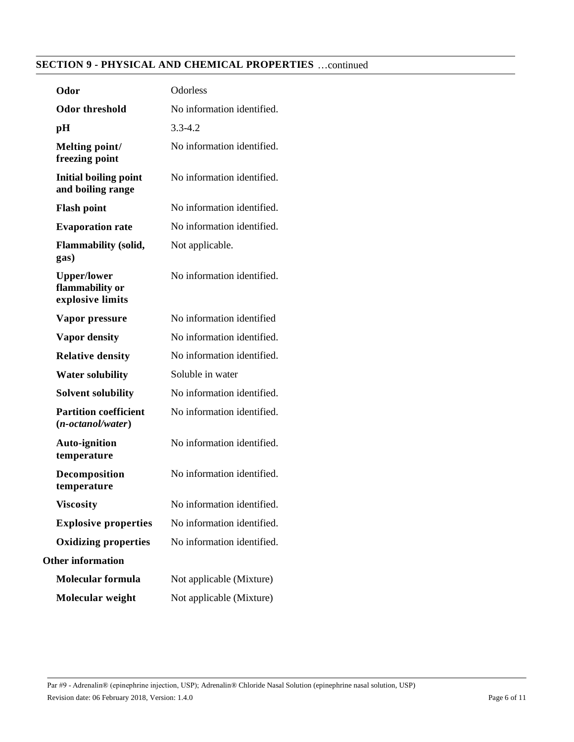# **SECTION 9 - PHYSICAL AND CHEMICAL PROPERTIES** …continued

| Odor                                                      | Odorless                   |
|-----------------------------------------------------------|----------------------------|
| <b>Odor threshold</b>                                     | No information identified. |
| pH                                                        | $3.3 - 4.2$                |
| Melting point/<br>freezing point                          | No information identified. |
| <b>Initial boiling point</b><br>and boiling range         | No information identified. |
| <b>Flash point</b>                                        | No information identified. |
| <b>Evaporation rate</b>                                   | No information identified. |
| <b>Flammability (solid,</b><br>gas)                       | Not applicable.            |
| <b>Upper/lower</b><br>flammability or<br>explosive limits | No information identified. |
| Vapor pressure                                            | No information identified  |
| <b>Vapor density</b>                                      | No information identified. |
| <b>Relative density</b>                                   | No information identified. |
| <b>Water solubility</b>                                   | Soluble in water           |
| <b>Solvent solubility</b>                                 | No information identified. |
| <b>Partition coefficient</b><br>$(n-octanol/water)$       | No information identified. |
| <b>Auto-ignition</b><br>temperature                       | No information identified. |
| Decomposition<br>temperature                              | No information identified. |
| <b>Viscosity</b>                                          | No information identified. |
| <b>Explosive properties</b>                               | No information identified. |
| <b>Oxidizing properties</b>                               | No information identified. |
| <b>Other information</b>                                  |                            |
| <b>Molecular formula</b>                                  | Not applicable (Mixture)   |
| Molecular weight                                          | Not applicable (Mixture)   |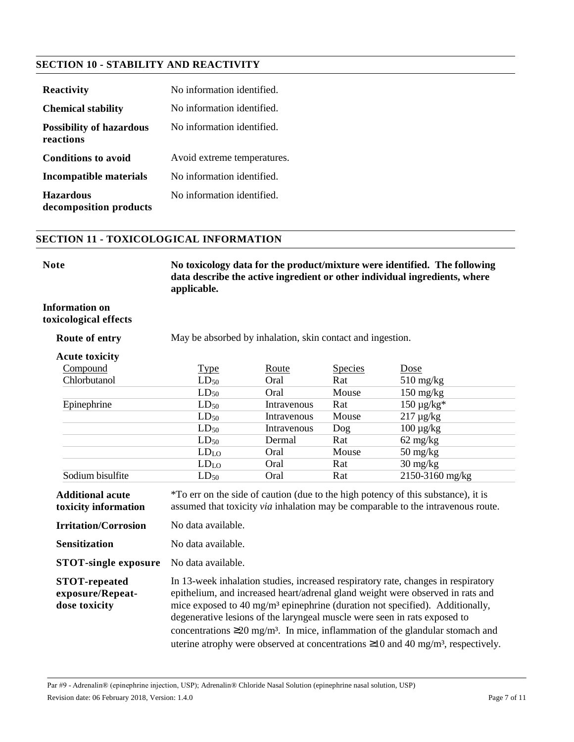# **SECTION 10 - STABILITY AND REACTIVITY**

| <b>Reactivity</b>                            | No information identified.  |
|----------------------------------------------|-----------------------------|
| <b>Chemical stability</b>                    | No information identified.  |
| <b>Possibility of hazardous</b><br>reactions | No information identified.  |
| <b>Conditions to avoid</b>                   | Avoid extreme temperatures. |
| Incompatible materials                       | No information identified.  |
| <b>Hazardous</b><br>decomposition products   | No information identified   |

### **SECTION 11 - TOXICOLOGICAL INFORMATION**

| ۰.<br>×<br>٠<br>۰, |  |  |  |
|--------------------|--|--|--|
|--------------------|--|--|--|

**Note No toxicology data for the product/mixture were identified. The following data describe the active ingredient or other individual ingredients, where applicable.**

#### **Information on toxicological effects**

**Route of entry** May be absorbed by inhalation, skin contact and ingestion.

#### **Acute toxicity**

| Compound         | <b>Type</b>      | Route       | <b>Species</b> | <u>Dose</u>                       |
|------------------|------------------|-------------|----------------|-----------------------------------|
| Chlorbutanol     | $LD_{50}$        | Oral        | Rat            | $510 \frac{\text{mg}}{\text{kg}}$ |
|                  | $LD_{50}$        | Oral        | Mouse          | $150 \text{ mg/kg}$               |
| Epinephrine      | $LD_{50}$        | Intravenous | Rat            | $150 \mu g/kg*$                   |
|                  | $LD_{50}$        | Intravenous | Mouse          | $217 \mu g/kg$                    |
|                  | $LD_{50}$        | Intravenous | Dog            | $100 \mu g/kg$                    |
|                  | $LD_{50}$        | Dermal      | Rat            | $62 \text{ mg/kg}$                |
|                  | LD <sub>LO</sub> | Oral        | Mouse          | $50 \frac{\text{mg}}{\text{kg}}$  |
|                  | LD <sub>LO</sub> | Oral        | Rat            | $30 \text{ mg/kg}$                |
| Sodium bisulfite | $LD_{50}$        | Oral        | Rat            | 2150-3160 mg/kg                   |

**Additional acute toxicity information** \*To err on the side of caution (due to the high potency of this substance), it is assumed that toxicity *via* inhalation may be comparable to the intravenous route.

**Irritation/Corrosion** No data available.

**Sensitization** No data available.

**STOT-single exposure** No data available.

**STOT-repeated exposure/Repeatdose toxicity** In 13-week inhalation studies, increased respiratory rate, changes in respiratory epithelium, and increased heart/adrenal gland weight were observed in rats and mice exposed to 40 mg/m³ epinephrine (duration not specified). Additionally, degenerative lesions of the laryngeal muscle were seen in rats exposed to concentrations  $\geq 20$  mg/m<sup>3</sup>. In mice, inflammation of the glandular stomach and uterine atrophy were observed at concentrations  $\geq 10$  and 40 mg/m<sup>3</sup>, respectively.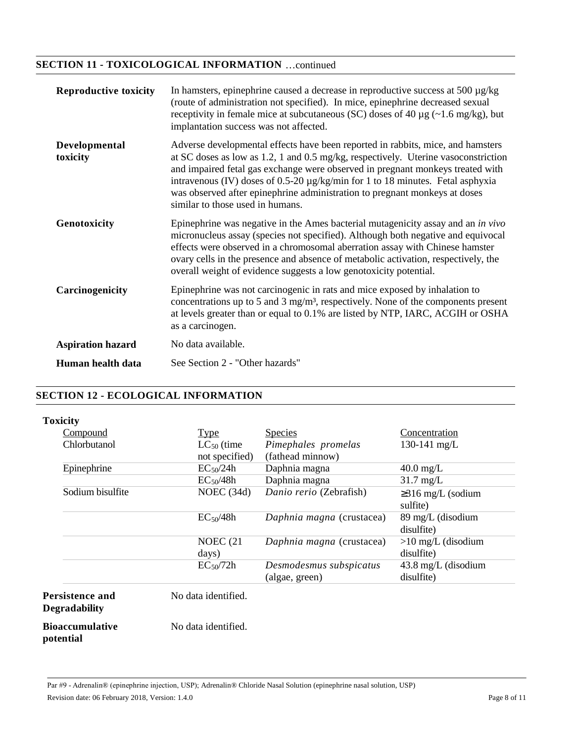# **SECTION 11 - TOXICOLOGICAL INFORMATION** …continued

| <b>Reproductive toxicity</b> | In hamsters, epinephrine caused a decrease in reproductive success at 500 $\mu$ g/kg<br>(route of administration not specified). In mice, epinephrine decreased sexual<br>receptivity in female mice at subcutaneous (SC) doses of 40 $\mu$ g (~1.6 mg/kg), but<br>implantation success was not affected.                                                                                                                                                        |
|------------------------------|------------------------------------------------------------------------------------------------------------------------------------------------------------------------------------------------------------------------------------------------------------------------------------------------------------------------------------------------------------------------------------------------------------------------------------------------------------------|
| Developmental<br>toxicity    | Adverse developmental effects have been reported in rabbits, mice, and hamsters<br>at SC doses as low as 1.2, 1 and 0.5 mg/kg, respectively. Uterine vasoconstriction<br>and impaired fetal gas exchange were observed in pregnant monkeys treated with<br>intravenous (IV) doses of 0.5-20 $\mu$ g/kg/min for 1 to 18 minutes. Fetal asphyxia<br>was observed after epinephrine administration to pregnant monkeys at doses<br>similar to those used in humans. |
| Genotoxicity                 | Epinephrine was negative in the Ames bacterial mutagenicity assay and an <i>in vivo</i><br>micronucleus assay (species not specified). Although both negative and equivocal<br>effects were observed in a chromosomal aberration assay with Chinese hamster<br>ovary cells in the presence and absence of metabolic activation, respectively, the<br>overall weight of evidence suggests a low genotoxicity potential.                                           |
| Carcinogenicity              | Epinephrine was not carcinogenic in rats and mice exposed by inhalation to<br>concentrations up to 5 and 3 mg/m <sup>3</sup> , respectively. None of the components present<br>at levels greater than or equal to 0.1% are listed by NTP, IARC, ACGIH or OSHA<br>as a carcinogen.                                                                                                                                                                                |
| <b>Aspiration hazard</b>     | No data available.                                                                                                                                                                                                                                                                                                                                                                                                                                               |
| Human health data            | See Section 2 - "Other hazards"                                                                                                                                                                                                                                                                                                                                                                                                                                  |

#### **SECTION 12 - ECOLOGICAL INFORMATION**

**Toxicity**

| .                |                       |                                           |                                             |
|------------------|-----------------------|-------------------------------------------|---------------------------------------------|
| Compound         | <b>Type</b>           | Species                                   | Concentration                               |
| Chlorbutanol     | $LC_{50}$ (time       | Pimephales promelas                       | 130-141 mg/L                                |
|                  | not specified)        | (fathead minnow)                          |                                             |
| Epinephrine      | $EC_{50}/24h$         | Daphnia magna                             | $40.0$ mg/L                                 |
|                  | $EC_{50}/48h$         | Daphnia magna                             | $31.7 \text{ mg/L}$                         |
| Sodium bisulfite | NOEC $(34d)$          | Danio rerio (Zebrafish)                   | $\geq$ 316 mg/L (sodium<br>sulfite)         |
|                  | EC <sub>50</sub> /48h | Daphnia magna (crustacea)                 | 89 mg/L (disodium<br>disulfite)             |
|                  | NOEC $(21)$<br>days)  | Daphnia magna (crustacea)                 | $>10$ mg/L (disodium<br>disulfite)          |
|                  | $EC_{50}/72h$         | Desmodesmus subspicatus<br>(algae, green) | $43.8 \text{ mg/L}$ (disodium<br>disulfite) |
| rsistence and    | No data identified.   |                                           |                                             |

Per **Degradability**

**Bioaccumulative potential**

No data identified.

Par #9 - Adrenalin® (epinephrine injection, USP); Adrenalin® Chloride Nasal Solution (epinephrine nasal solution, USP) Revision date: 06 February 2018, Version: 1.4.0 Page 8 of 11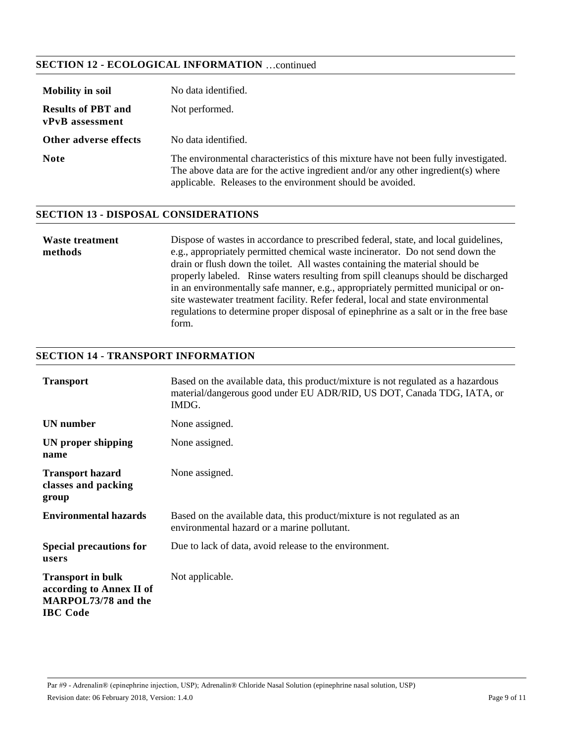# **SECTION 12 - ECOLOGICAL INFORMATION** …continued

| <b>Mobility in soil</b>                      | No data identified.                                                                                                                                                                                                                    |
|----------------------------------------------|----------------------------------------------------------------------------------------------------------------------------------------------------------------------------------------------------------------------------------------|
| <b>Results of PBT and</b><br>vPvB assessment | Not performed.                                                                                                                                                                                                                         |
| Other adverse effects                        | No data identified.                                                                                                                                                                                                                    |
| <b>Note</b>                                  | The environmental characteristics of this mixture have not been fully investigated.<br>The above data are for the active ingredient and/or any other ingredient(s) where<br>applicable. Releases to the environment should be avoided. |

### **SECTION 13 - DISPOSAL CONSIDERATIONS**

| Waste treatment                                                                   | Dispose of wastes in accordance to prescribed federal, state, and local guidelines,   |  |
|-----------------------------------------------------------------------------------|---------------------------------------------------------------------------------------|--|
| methods                                                                           | e.g., appropriately permitted chemical waste incinerator. Do not send down the        |  |
|                                                                                   | drain or flush down the toilet. All wastes containing the material should be          |  |
|                                                                                   | properly labeled. Rinse waters resulting from spill cleanups should be discharged     |  |
|                                                                                   | in an environmentally safe manner, e.g., appropriately permitted municipal or on-     |  |
| site was tewater treatment facility. Refer federal, local and state environmental |                                                                                       |  |
|                                                                                   | regulations to determine proper disposal of epinephrine as a salt or in the free base |  |
|                                                                                   | form.                                                                                 |  |

# **SECTION 14 - TRANSPORT INFORMATION**

| <b>Transport</b>                                                                               | Based on the available data, this product/mixture is not regulated as a hazardous<br>material/dangerous good under EU ADR/RID, US DOT, Canada TDG, IATA, or<br>IMDG. |
|------------------------------------------------------------------------------------------------|----------------------------------------------------------------------------------------------------------------------------------------------------------------------|
| UN number                                                                                      | None assigned.                                                                                                                                                       |
| UN proper shipping<br>name                                                                     | None assigned.                                                                                                                                                       |
| <b>Transport hazard</b><br>classes and packing<br>group                                        | None assigned.                                                                                                                                                       |
| <b>Environmental hazards</b>                                                                   | Based on the available data, this product/mixture is not regulated as an<br>environmental hazard or a marine pollutant.                                              |
| <b>Special precautions for</b><br>users                                                        | Due to lack of data, avoid release to the environment.                                                                                                               |
| <b>Transport in bulk</b><br>according to Annex II of<br>MARPOL73/78 and the<br><b>IBC</b> Code | Not applicable.                                                                                                                                                      |

Par #9 - Adrenalin® (epinephrine injection, USP); Adrenalin® Chloride Nasal Solution (epinephrine nasal solution, USP) Revision date: 06 February 2018, Version: 1.4.0 Page 9 of 11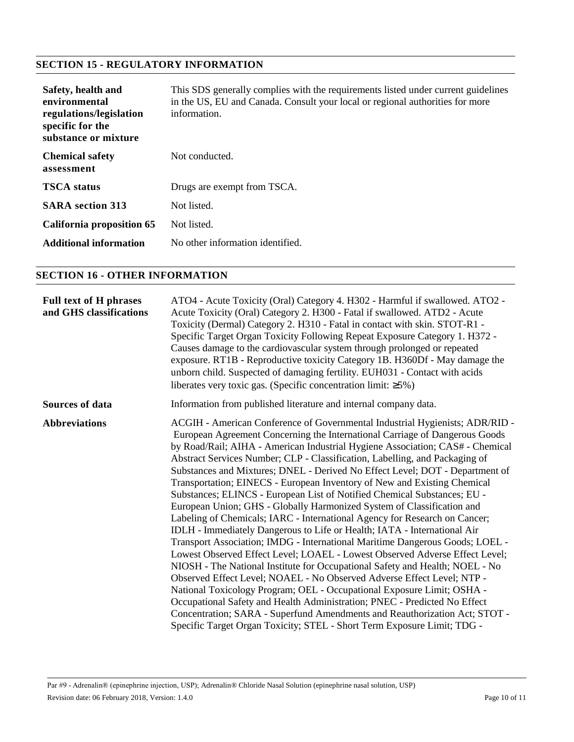# **SECTION 15 - REGULATORY INFORMATION**

| Safety, health and<br>environmental<br>regulations/legislation<br>specific for the<br>substance or mixture | This SDS generally complies with the requirements listed under current guidelines<br>in the US, EU and Canada. Consult your local or regional authorities for more<br>information. |
|------------------------------------------------------------------------------------------------------------|------------------------------------------------------------------------------------------------------------------------------------------------------------------------------------|
| <b>Chemical safety</b><br>assessment                                                                       | Not conducted.                                                                                                                                                                     |
| <b>TSCA</b> status                                                                                         | Drugs are exempt from TSCA.                                                                                                                                                        |
| <b>SARA</b> section 313                                                                                    | Not listed.                                                                                                                                                                        |
| California proposition 65                                                                                  | Not listed.                                                                                                                                                                        |
| <b>Additional information</b>                                                                              | No other information identified.                                                                                                                                                   |

# **SECTION 16 - OTHER INFORMATION**

| <b>Full text of H phrases</b><br>and GHS classifications | ATO4 - Acute Toxicity (Oral) Category 4. H302 - Harmful if swallowed. ATO2 -<br>Acute Toxicity (Oral) Category 2. H300 - Fatal if swallowed. ATD2 - Acute<br>Toxicity (Dermal) Category 2. H310 - Fatal in contact with skin. STOT-R1 -<br>Specific Target Organ Toxicity Following Repeat Exposure Category 1. H372 -<br>Causes damage to the cardiovascular system through prolonged or repeated<br>exposure. RT1B - Reproductive toxicity Category 1B. H360Df - May damage the<br>unborn child. Suspected of damaging fertility. EUH031 - Contact with acids<br>liberates very toxic gas. (Specific concentration limit: $\geq 5\%$ )                                                                                                                                                                                                                                                                                                                                                                                                                                                                                                                                                                                                                                                                                                                                                                                                         |
|----------------------------------------------------------|--------------------------------------------------------------------------------------------------------------------------------------------------------------------------------------------------------------------------------------------------------------------------------------------------------------------------------------------------------------------------------------------------------------------------------------------------------------------------------------------------------------------------------------------------------------------------------------------------------------------------------------------------------------------------------------------------------------------------------------------------------------------------------------------------------------------------------------------------------------------------------------------------------------------------------------------------------------------------------------------------------------------------------------------------------------------------------------------------------------------------------------------------------------------------------------------------------------------------------------------------------------------------------------------------------------------------------------------------------------------------------------------------------------------------------------------------|
| Sources of data                                          | Information from published literature and internal company data.                                                                                                                                                                                                                                                                                                                                                                                                                                                                                                                                                                                                                                                                                                                                                                                                                                                                                                                                                                                                                                                                                                                                                                                                                                                                                                                                                                                 |
| <b>Abbreviations</b>                                     | ACGIH - American Conference of Governmental Industrial Hygienists; ADR/RID -<br>European Agreement Concerning the International Carriage of Dangerous Goods<br>by Road/Rail; AIHA - American Industrial Hygiene Association; CAS# - Chemical<br>Abstract Services Number; CLP - Classification, Labelling, and Packaging of<br>Substances and Mixtures; DNEL - Derived No Effect Level; DOT - Department of<br>Transportation; EINECS - European Inventory of New and Existing Chemical<br>Substances; ELINCS - European List of Notified Chemical Substances; EU -<br>European Union; GHS - Globally Harmonized System of Classification and<br>Labeling of Chemicals; IARC - International Agency for Research on Cancer;<br>IDLH - Immediately Dangerous to Life or Health; IATA - International Air<br>Transport Association; IMDG - International Maritime Dangerous Goods; LOEL -<br>Lowest Observed Effect Level; LOAEL - Lowest Observed Adverse Effect Level;<br>NIOSH - The National Institute for Occupational Safety and Health; NOEL - No<br>Observed Effect Level; NOAEL - No Observed Adverse Effect Level; NTP -<br>National Toxicology Program; OEL - Occupational Exposure Limit; OSHA -<br>Occupational Safety and Health Administration; PNEC - Predicted No Effect<br>Concentration; SARA - Superfund Amendments and Reauthorization Act; STOT -<br>Specific Target Organ Toxicity; STEL - Short Term Exposure Limit; TDG - |

Par #9 - Adrenalin® (epinephrine injection, USP); Adrenalin® Chloride Nasal Solution (epinephrine nasal solution, USP) Revision date: 06 February 2018, Version: 1.4.0 Page 10 of 11